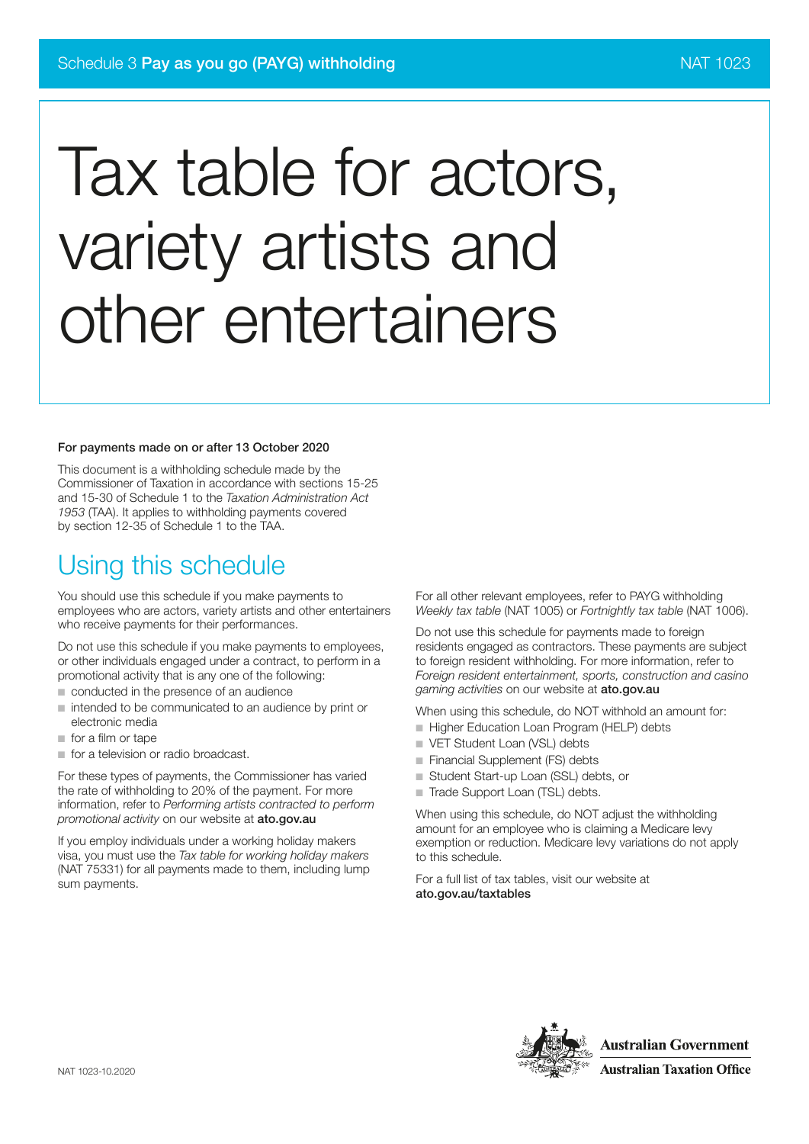# Tax table for actors, variety artists and other entertainers

#### For payments made on or after 13 October 2020

This document is a withholding schedule made by the Commissioner of Taxation in accordance with sections 15-25 and 15-30 of Schedule 1 to the *Taxation Administration Act 1953* (TAA). It applies to withholding payments covered by section 12-35 of Schedule 1 to the TAA.

### Using this schedule

You should use this schedule if you make payments to employees who are actors, variety artists and other entertainers who receive payments for their performances.

Do not use this schedule if you make payments to employees, or other individuals engaged under a contract, to perform in a promotional activity that is any one of the following:

- conducted in the presence of an audience
- intended to be communicated to an audience by print or electronic media
- for a film or tape
- for a television or radio broadcast.

For these types of payments, the Commissioner has varied the rate of withholding to 20% of the payment. For more information, refer to *Performing artists contracted to perform promotional activity* on our website at ato.gov.au

If you employ individuals under a working holiday makers visa, you must use the *Tax table for working holiday makers* (NAT 75331) for all payments made to them, including lump sum payments.

For all other relevant employees, refer to PAYG withholding *Weekly tax table* (NAT 1005) or *Fortnightly tax table* (NAT 1006).

Do not use this schedule for payments made to foreign residents engaged as contractors. These payments are subject to foreign resident withholding. For more information, refer to *Foreign resident entertainment, sports, construction and casino gaming activities* on our website at ato.gov.au

When using this schedule, do NOT withhold an amount for:

- Higher Education Loan Program (HELP) debts
- VET Student Loan (VSL) debts
- Financial Supplement (FS) debts
- Student Start-up Loan (SSL) debts, or
- Trade Support Loan (TSL) debts.

When using this schedule, do NOT adjust the withholding amount for an employee who is claiming a Medicare levy exemption or reduction. Medicare levy variations do not apply to this schedule.

For a full list of tax tables, visit our website at ato.gov.au/taxtables

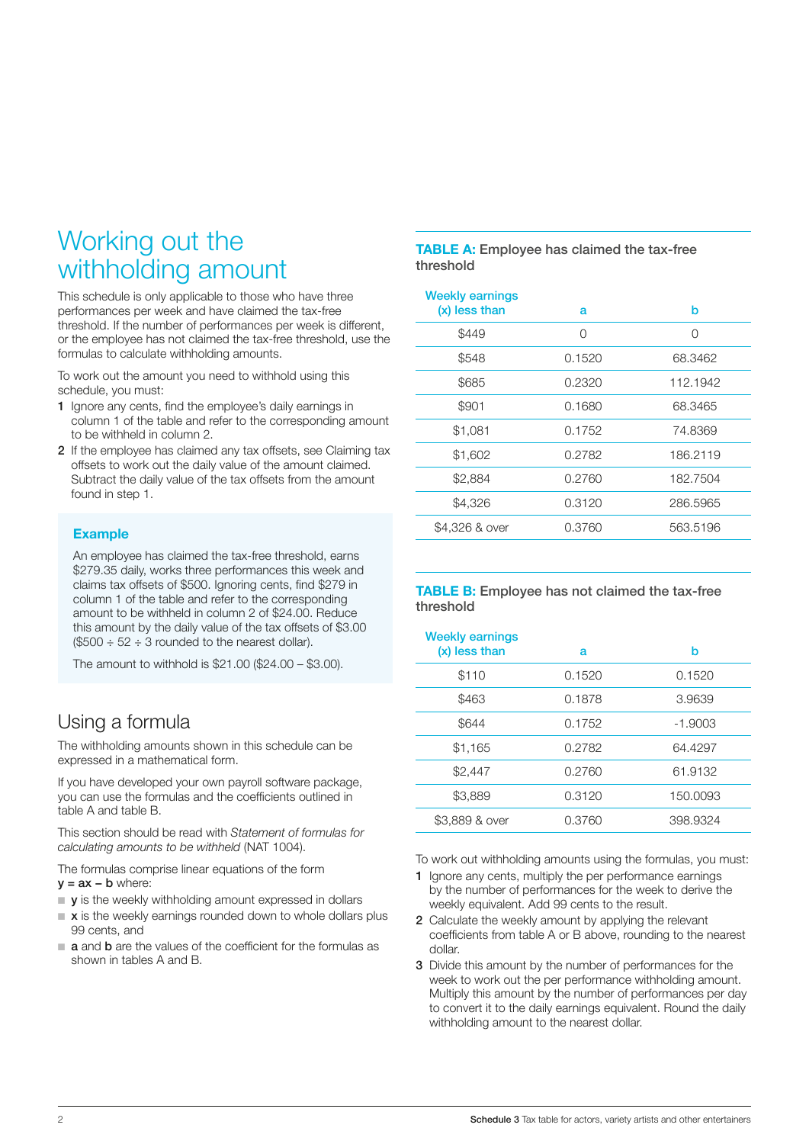### Working out the withholding amount

This schedule is only applicable to those who have three performances per week and have claimed the tax-free threshold. If the number of performances per week is different, or the employee has not claimed the tax-free threshold, use the formulas to calculate withholding amounts.

To work out the amount you need to withhold using this schedule, you must:

- 1 Ignore any cents, find the employee's daily earnings in column 1 of the table and refer to the corresponding amount to be withheld in column 2.
- 2 If the employee has claimed any tax offsets, see Claiming tax offsets to work out the daily value of the amount claimed. Subtract the daily value of the tax offsets from the amount found in step 1.

### Example

An employee has claimed the tax-free threshold, earns \$279.35 daily, works three performances this week and claims tax offsets of \$500. Ignoring cents, find \$279 in column 1 of the table and refer to the corresponding amount to be withheld in column 2 of \$24.00. Reduce this amount by the daily value of the tax offsets of \$3.00  $$500 \div 52 \div 3$  rounded to the nearest dollar).

The amount to withhold is \$21.00 (\$24.00 – \$3.00).

### Using a formula

The withholding amounts shown in this schedule can be expressed in a mathematical form.

If you have developed your own payroll software package, you can use the formulas and the coefficients outlined in table A and table B.

This section should be read with *Statement of formulas for calculating amounts to be withheld* (NAT 1004).

The formulas comprise linear equations of the form  $y = ax - b$  where:

- $\blacksquare$  **y** is the weekly withholding amount expressed in dollars
- $\blacksquare$  x is the weekly earnings rounded down to whole dollars plus 99 cents, and
- **a** and **b** are the values of the coefficient for the formulas as shown in tables A and B.

#### TABLE A: Employee has claimed the tax-free threshold

| <b>Weekly earnings</b><br>(x) less than | a      | b        |
|-----------------------------------------|--------|----------|
| \$449                                   | Ω      | O        |
| \$548                                   | 0.1520 | 68.3462  |
| \$685                                   | 0.2320 | 112.1942 |
| \$901                                   | 0.1680 | 68.3465  |
| \$1,081                                 | 0.1752 | 74.8369  |
| \$1,602                                 | 0.2782 | 186.2119 |
| \$2,884                                 | 0.2760 | 182.7504 |
| \$4,326                                 | 0.3120 | 286,5965 |
| \$4,326 & over                          | 0.3760 | 563.5196 |

#### TABLE B: Employee has not claimed the tax-free threshold

| <b>Weekly earnings</b><br>(x) less than | a      | b         |
|-----------------------------------------|--------|-----------|
| \$110                                   | 0.1520 | 0.1520    |
| \$463                                   | 0.1878 | 3.9639    |
| \$644                                   | 0.1752 | $-1.9003$ |
| \$1,165                                 | 0.2782 | 64.4297   |
| \$2,447                                 | 0.2760 | 61.9132   |
| \$3,889                                 | 0.3120 | 150.0093  |
| \$3,889 & over                          | 0.3760 | 398.9324  |

To work out withholding amounts using the formulas, you must:

- 1 Ignore any cents, multiply the per performance earnings by the number of performances for the week to derive the weekly equivalent. Add 99 cents to the result.
- 2 Calculate the weekly amount by applying the relevant coefficients from table A or B above, rounding to the nearest dollar.
- 3 Divide this amount by the number of performances for the week to work out the per performance withholding amount. Multiply this amount by the number of performances per day to convert it to the daily earnings equivalent. Round the daily withholding amount to the nearest dollar.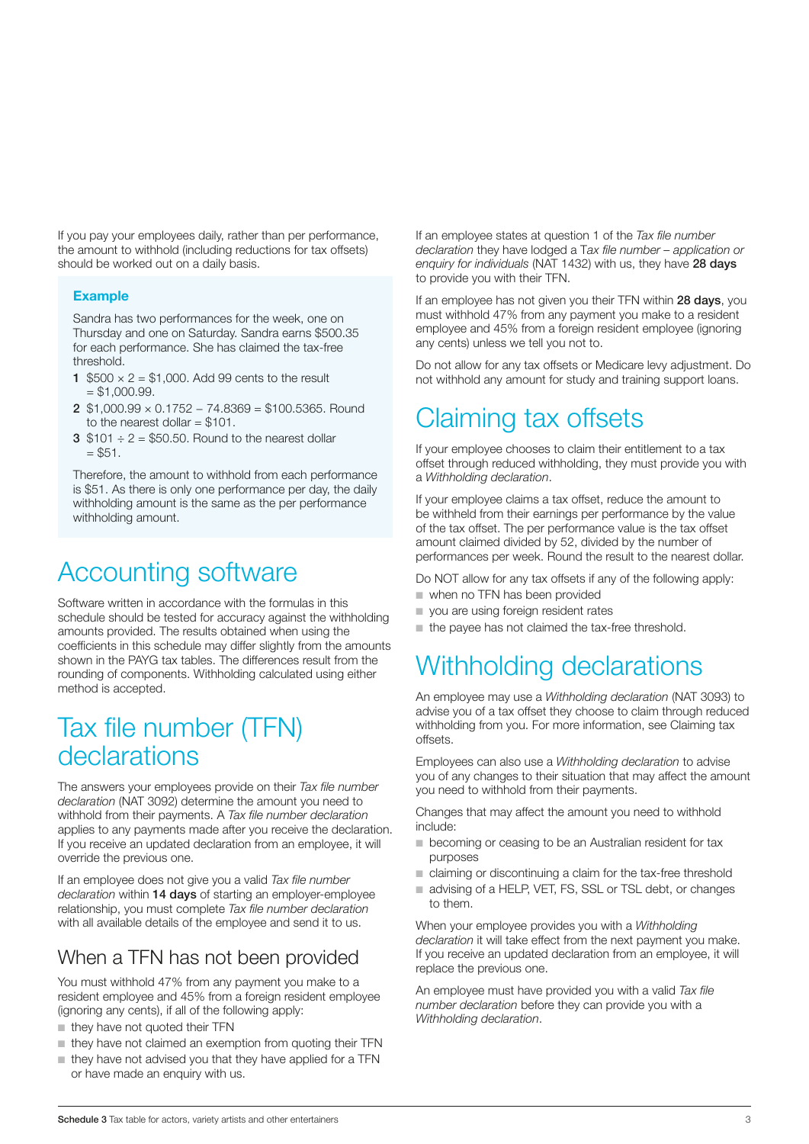If you pay your employees daily, rather than per performance, the amount to withhold (including reductions for tax offsets) should be worked out on a daily basis.

#### Example

Sandra has two performances for the week, one on Thursday and one on Saturday. Sandra earns \$500.35 for each performance. She has claimed the tax-free threshold.

- 1  $$500 \times 2 = $1,000$ . Add 99 cents to the result  $= $1,000.99.$
- 2 \$1,000.99 × 0.1752 − 74.8369 = \$100.5365. Round to the nearest dollar  $= $101$ .
- 3  $$101 \div 2 = $50.50$ . Round to the nearest dollar  $=$  \$51.

Therefore, the amount to withhold from each performance is \$51. As there is only one performance per day, the daily withholding amount is the same as the per performance withholding amount.

### Accounting software

Software written in accordance with the formulas in this schedule should be tested for accuracy against the withholding amounts provided. The results obtained when using the coefficients in this schedule may differ slightly from the amounts shown in the PAYG tax tables. The differences result from the rounding of components. Withholding calculated using either method is accepted.

### Tax file number (TFN) declarations

The answers your employees provide on their *Tax file number declaration* (NAT 3092) determine the amount you need to withhold from their payments. A *Tax file number declaration* applies to any payments made after you receive the declaration. If you receive an updated declaration from an employee, it will override the previous one.

If an employee does not give you a valid *Tax file number declaration* within 14 days of starting an employer-employee relationship, you must complete *Tax file number declaration* with all available details of the employee and send it to us.

### When a TFN has not been provided

You must withhold 47% from any payment you make to a resident employee and 45% from a foreign resident employee (ignoring any cents), if all of the following apply:

- they have not quoted their TFN
- they have not claimed an exemption from quoting their TFN
- they have not advised you that they have applied for a TFN or have made an enquiry with us.

If an employee states at question 1 of the *Tax file number declaration* they have lodged a T*ax file number – application or*  enquiry for individuals (NAT 1432) with us, they have 28 days to provide you with their TFN.

If an employee has not given you their TFN within 28 days, you must withhold 47% from any payment you make to a resident employee and 45% from a foreign resident employee (ignoring any cents) unless we tell you not to.

Do not allow for any tax offsets or Medicare levy adjustment. Do not withhold any amount for study and training support loans.

### Claiming tax offsets

If your employee chooses to claim their entitlement to a tax offset through reduced withholding, they must provide you with a *Withholding declaration*.

If your employee claims a tax offset, reduce the amount to be withheld from their earnings per performance by the value of the tax offset. The per performance value is the tax offset amount claimed divided by 52, divided by the number of performances per week. Round the result to the nearest dollar.

Do NOT allow for any tax offsets if any of the following apply:

- when no TFN has been provided
- you are using foreign resident rates
- the payee has not claimed the tax-free threshold.

## Withholding declarations

An employee may use a *Withholding declaration* (NAT 3093) to advise you of a tax offset they choose to claim through reduced withholding from you. For more information, see Claiming tax offsets.

Employees can also use a *Withholding declaration* to advise you of any changes to their situation that may affect the amount you need to withhold from their payments.

Changes that may affect the amount you need to withhold include:

- becoming or ceasing to be an Australian resident for tax purposes
- claiming or discontinuing a claim for the tax-free threshold
- advising of a HELP, VET, FS, SSL or TSL debt, or changes to them.

When your employee provides you with a *Withholding declaration* it will take effect from the next payment you make. If you receive an updated declaration from an employee, it will replace the previous one.

An employee must have provided you with a valid *Tax file number declaration* before they can provide you with a *Withholding declaration*.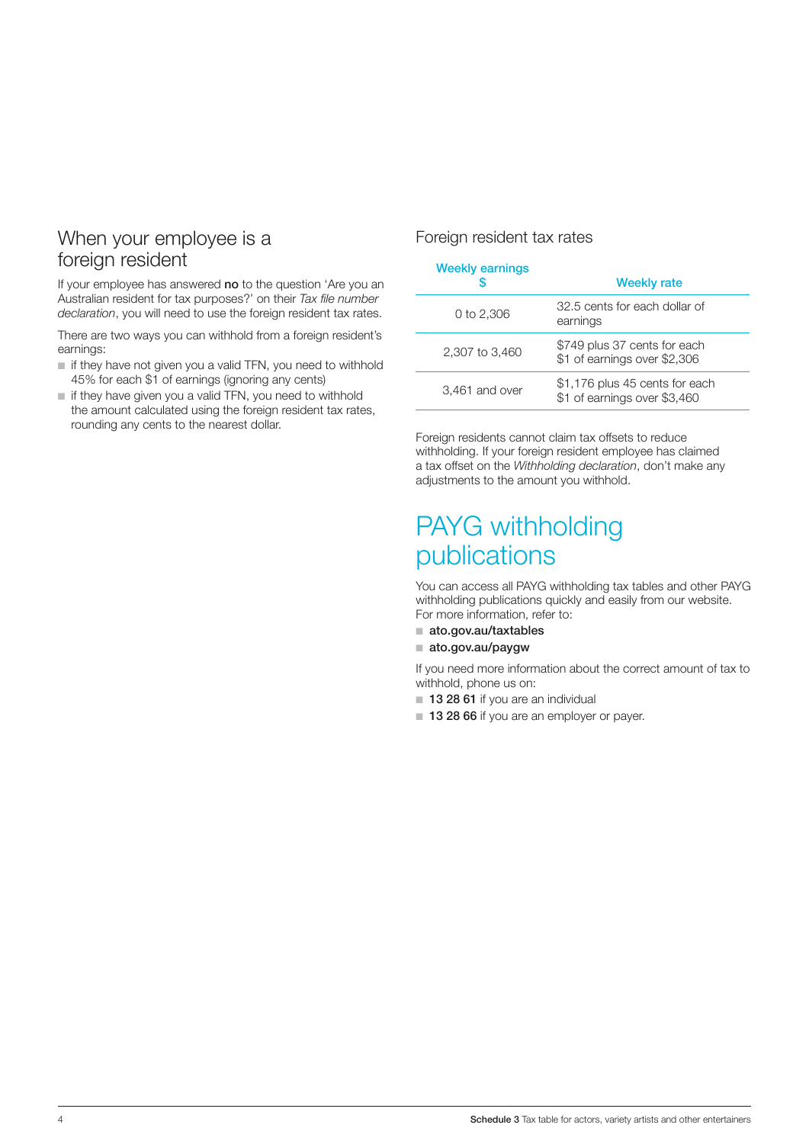### When your employee is a foreign resident

If your employee has answered no to the question 'Are you an Australian resident for tax purposes?' on their *Tax file number declaration*, you will need to use the foreign resident tax rates.

There are two ways you can withhold from a foreign resident's earnings:

- if they have not given you a valid TFN, you need to withhold 45% for each \$1 of earnings (ignoring any cents)
- if they have given you a valid TFN, you need to withhold the amount calculated using the foreign resident tax rates, rounding any cents to the nearest dollar.

#### Foreign resident tax rates

#### Weekly earnings

|                | <b>Weekly rate</b>                                             |  |  |  |  |
|----------------|----------------------------------------------------------------|--|--|--|--|
| 0 to 2,306     | 32.5 cents for each dollar of<br>earnings                      |  |  |  |  |
| 2,307 to 3,460 | \$749 plus 37 cents for each<br>\$1 of earnings over \$2,306   |  |  |  |  |
| 3,461 and over | \$1,176 plus 45 cents for each<br>\$1 of earnings over \$3,460 |  |  |  |  |

Foreign residents cannot claim tax offsets to reduce withholding. If your foreign resident employee has claimed a tax offset on the *Withholding declaration*, don't make any adjustments to the amount you withhold.

### PAYG withholding publications

You can access all PAYG withholding tax tables and other PAYG withholding publications quickly and easily from our website. For more information, refer to:

- ato.gov.au/taxtables
- ato.gov.au/paygw

If you need more information about the correct amount of tax to withhold, phone us on:

- 13 28 61 if you are an individual
- 13 28 66 if you are an employer or payer.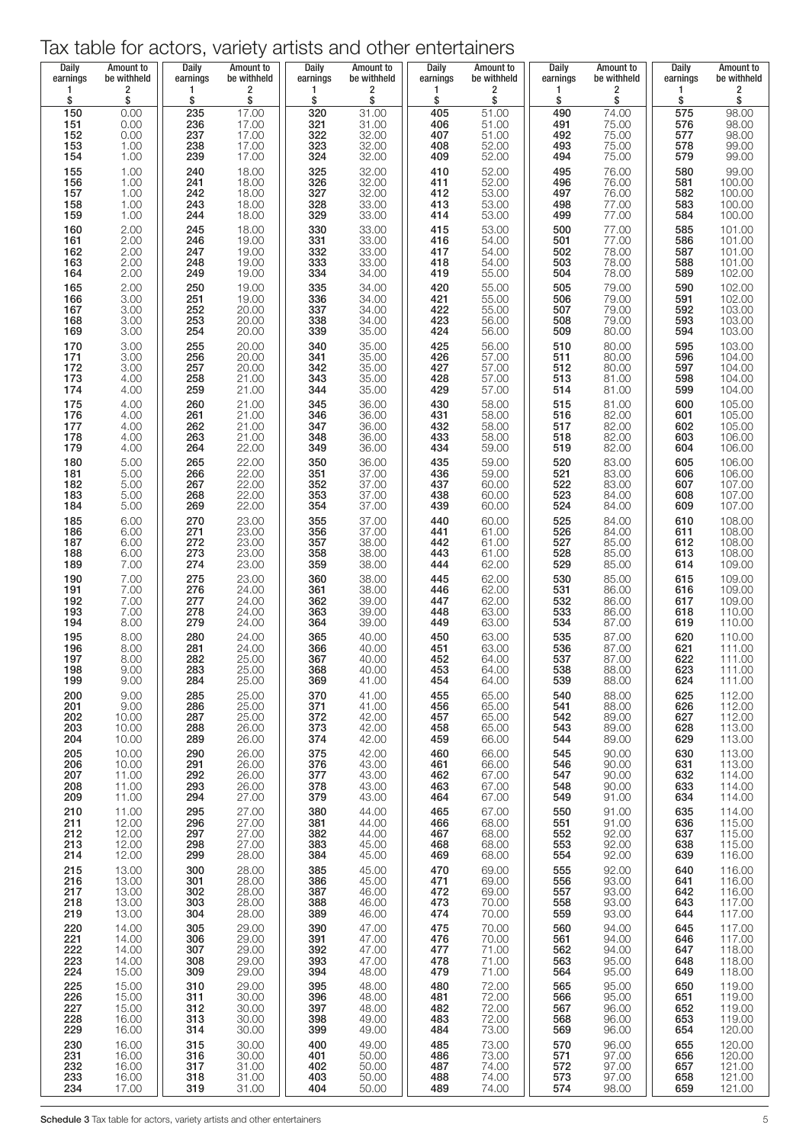### Tax table for actors, variety artists and other entertainers

| <b>Daily</b><br>earnings | Amount to<br>be withheld             | Daily<br>earnings              | Amount to<br>be withheld         | Daily<br>earnings | Amount to<br>be withheld | <b>Daily</b><br>earnings | Amount to<br>be withheld               | Daily<br>earnings        | Amount to<br>be withheld                  | Daily<br>earnings               | Amount to<br>be withheld                                  |
|--------------------------|--------------------------------------|--------------------------------|----------------------------------|-------------------|--------------------------|--------------------------|----------------------------------------|--------------------------|-------------------------------------------|---------------------------------|-----------------------------------------------------------|
| 1<br>\$                  | $\overline{\mathbf{c}}$<br>\$        | 1<br>\$                        | 2<br>\$                          | 1<br>\$           | 2<br>\$                  | 1<br>\$                  | 2<br>\$                                | $\mathbf{1}$<br>\$       | 2<br>\$                                   | 1<br>\$                         | 2<br>\$                                                   |
| 150<br>151               | 0.00<br>0.00                         | 235<br>236<br>237              | 17.00                            | 320<br>321<br>322 | 31.00<br>31.00           | 405<br>406<br>407        | $\frac{51.00}{51.00}$<br>51.00         | 490<br>491<br>492        | 74.00                                     | 575<br>576<br>577               | 98.00<br>98.00<br>98.00<br>99.00<br>99.00                 |
| 152<br>153<br>154        | $0.00$<br>1.00<br>1.00               | 238<br>239                     | 17.00<br>17.00<br>17.00<br>17.00 | 323<br>324        | 32.00<br>32.00<br>32.00  | 408<br>409               | 52.00<br>52.00                         | 493<br>494               | 75.00<br>75.00<br>75.00<br>75.00          | 578<br>579                      |                                                           |
| $155$<br>$156$           | $1.00$<br>$1.00$                     | 240                            |                                  | 325<br>326        | 32.00                    | 410                      | 52.00<br>52.00                         | 495<br>496               |                                           | 580                             | 99.00<br>100.00                                           |
| 157                      | 1.00                                 | 241<br>242<br>$\overline{243}$ | 18.00<br>18.00<br>18.00          | 327<br>328        | 32.00<br>32.00<br>33.00  | $\frac{411}{412}$<br>413 | 53.00<br>53.00<br>53.00                | 497                      | 76.00<br>76.00<br>76.00<br>77.00<br>77.00 | 581<br>581<br>582<br>583<br>584 | $\begin{array}{c} 100.00 \\ 100.00 \\ 100.00 \end{array}$ |
| 158<br>159               | $1.00$<br>$1.00$                     | 244                            | 18.00<br>18.00                   | 329               | 33.00                    | 414                      |                                        | 498<br>499               |                                           |                                 |                                                           |
| 160<br>161<br>162        | $2.00$<br>$2.00$                     | 245<br>246                     | 18.00<br>19.00<br>19.00<br>19.00 | 330<br>331<br>332 | 33.00<br>33.00           | 415<br>416               | 53.00<br>54.00<br>54.00<br>54.00       | 500<br>501               | 77.00<br>77.00<br>78.00<br>78.00          |                                 |                                                           |
| 163<br>164               | $2.00$<br>2.00<br>2.00               | 247<br>248<br>249              | 19.00                            | 333<br>334        | 33.00<br>33.00<br>34.00  | $\frac{417}{418}$<br>419 | 55.00                                  | 502<br>503<br>504        | 78.00                                     | 585<br>586<br>587<br>588<br>589 | 101.00<br>101.00<br>101.00<br>101.00<br>102.00            |
| 165<br>166               |                                      | 250<br>251                     | 19.00                            | 335<br>336        | 34.00<br>34.00           | 420                      | 55.00<br>55.00                         |                          |                                           | 590                             |                                                           |
| $\frac{167}{168}$        | 2.00<br>3.00<br>3.00<br>3.00         | 252<br>253                     | 19.00<br>20.00<br>20.00          | 337<br>338        | 34.00<br>34.00           | 421<br>422<br>423        | 55.00<br>56.00                         | 505<br>506<br>507<br>508 | 79.00<br>79.00<br>79.00<br>79.00          | 591<br>592                      | 102.00<br>102.00<br>103.00<br>103.00                      |
| 169<br>170               | 3.00                                 | 254<br>255                     | 20.00                            | 339<br>340        | 35.00<br>35.00           | 424<br>425               | 56.00                                  | 509<br>510               | 80.00                                     | 593<br>594                      | 103.00                                                    |
| $\frac{171}{172}$        | $3.00$<br>$3.00$<br>$3.00$<br>$4.00$ | 256<br>257                     | 20.00<br>20.00<br>20.00          | $\frac{341}{342}$ | 35.00<br>35.00           | 426<br>427               | 56.00<br>57.00<br>57.00                | $\frac{511}{512}$        | 80.00<br>80.00<br>80.00                   | 595<br>596<br>597               | 103.00<br>104.00<br>104.00                                |
| 173<br>174               | 4.00                                 | 258<br>259                     | 21.00<br>21.00                   | 343<br>344        | 35.00<br>35.00           | 428<br>429               | 57.00<br>57.00                         | 513<br>514               | $81.00$<br>$81.00$                        | 598<br>599                      | 104.00<br>104.00                                          |
| 175<br>176               | 4.00<br>4.00                         | 260<br>261                     | 21.00<br>21.00                   | 345<br>346        | 36.00<br>36.00           | 430                      | 58.00<br>58.00                         | 515<br>516               |                                           | 600                             | 105.00<br>105.00                                          |
| $\frac{177}{178}$        | $4.00$<br>$4.00$                     | 262<br>263                     | $21.00$<br>$21.00$               | 347<br>348        | 36.00<br>36.00           | 431<br>432<br>433        | 58.00<br>58.00                         | 517<br>518<br>519        | 81.00<br>82.00<br>82.00<br>82.00<br>82.00 | $\frac{601}{602}$<br>602<br>603 | 105.00<br>106.00                                          |
| 179<br>180               | 4.00<br>5.00                         | 264<br>265                     | 22.00<br>22.00                   | 349<br>350        | 36.00<br>36.00           | 434<br>435               | 59.00                                  | 520                      |                                           | 604<br>605                      | 106.00                                                    |
| $\frac{181}{182}$        | $\frac{5.00}{5.00}$                  | 266<br>267                     | 22.00<br>22.00<br>22.00          | 351<br>352        | 37.00<br>37.00           | 436<br>437<br>438        | 59.00<br>59.00<br>60.00<br>60.00       | 521<br>$\frac{522}{523}$ | 83.00<br>83.00<br>83.00<br>84.00          | $\frac{606}{607}$               | 106.00<br>106.00<br>107.00<br>107.00                      |
| 183<br>184               | 5.00<br>5.00                         | 268<br>269                     | 22.00                            | 353<br>354        | 37.00<br>37.00           | 439                      | 60.00                                  | 524                      | 84.00                                     | 609                             | 107.00                                                    |
| 185<br>186               | 6.00<br>6.00                         | 270<br>271                     | 23.00                            | 355<br>356        | 37.00<br>37.00           | 440<br>441<br>442        | 60.00                                  | 525<br>526<br>527<br>528 | 84.00<br>84.00<br>85.00<br>85.00          | 610<br>611                      | 108.00                                                    |
| $\frac{187}{188}$<br>189 | $6.00$<br>$6.00$<br>7.00             | 272<br>273<br>274              | 23.00<br>23.00<br>23.00<br>23.00 | 357<br>358<br>359 | 38.00<br>38.00<br>38.00  | 443<br>444               | $61.00$<br>$61.00$<br>$61.00$<br>62.00 | 529                      | 85.00                                     | 612<br>613<br>614               | 108.00<br>108.00<br>108.00<br>109.00                      |
| 190<br>191<br>192        | 7.00<br>7.00<br>7.00                 | 275                            | 23.00<br>24.00<br>24.00          | 360<br>361        | 38.00<br>38.00           | 445                      | 62.00<br>62.00<br>62.00                | 530<br>531<br>532        | 85.00<br>86.00<br>86.00                   | 615<br>616                      |                                                           |
|                          | 7.00                                 | 276<br>277<br>278              | 24.00                            | 362<br>363        | 39.00<br>39.00           | 446<br>447<br>448        | 63.00                                  |                          |                                           | 617<br>618                      | 109.00<br>109.00<br>109.00                                |
| 193<br>194<br>195        | 8.00                                 | 279<br>280                     | 24.00<br>24.00                   | 364<br>365        | 39.00<br>40.00           | 449<br>450               | 63.00<br>63.00                         | 533<br>534               | 86.00<br>87.00                            | 619                             | 110.00<br>110.00                                          |
| 196<br>197               | $8.00$<br>$8.00$<br>8.00             | 281<br>282                     | 24.00<br>25.00                   | 366<br>367        | 40.00<br>40.00           | 451<br>452               | 63.00<br>64.00                         | 535<br>536<br>537        | 87.00<br>87.00<br>87.00                   | 620<br>621<br>622               | 110.00<br>111.00<br>111.00                                |
| 198<br>199               | 9.00<br>9.00                         | 283<br>284                     | 25.00<br>25.00                   | 368<br>369        | 40.00<br>41.00           | 453<br>454               | 64.00<br>64.00                         | 538<br>539               | 88.00<br>88.00                            | 623<br>624                      | 111.00<br>111.00                                          |
| 200<br>201               | 9.00<br>9.00                         | 285<br>286                     | 25.00<br>25.00                   | 370<br>371        | 41.00<br>41.00           | 455<br>456               | 65.00<br>65.00                         | 540<br>541               | 88.00<br>88.00                            | 625<br>626                      | 112.00<br>112.00                                          |
| 202<br>203               | 10.00<br>10.00                       | 287<br>288                     | 25.00<br>26.00                   | 372<br>373        | 42.00<br>42.00           | 457<br>458               | 65.00<br>65.00                         | 542<br>543               | 89.00<br>89.00                            | 627<br>628                      | 112.00<br>113.00                                          |
| 204<br>205               | 10.00<br>10.00                       | 289<br>290                     | 26.00<br>26.00                   | 374<br>375        | 42.00<br>42.00           | 459<br>460               | 66.00<br>66.00                         | 544<br>545               | 89.00<br>90.00                            | 629<br>630                      | 113.00<br>113.00                                          |
| 206<br>207               | 10.00<br>11.00                       | 291<br>292                     | 26.00<br>26.00                   | 376<br>377        | 43.00<br>43.00           | 461<br>462               | 66.00<br>67.00                         | 546<br>547               | 90.00<br>90.00                            | 631<br>632                      | 113.00<br>114.00                                          |
| 208<br>209               | 11.00<br>11.00                       | 293<br>294                     | 26.00<br>27.00                   | 378<br>379        | 43.00<br>43.00           | 463<br>464               | 67.00<br>67.00                         | 548<br>549               | 90.00<br>91.00                            | 633<br>634                      | 114.00<br>114.00                                          |
| 210<br>211<br>212        | 11.00<br>12.00<br>12.00              | 295<br>296<br>297              | 27.00<br>27.00<br>27.00          | 380<br>381<br>382 | 44.00<br>44.00<br>44.00  | 465<br>466<br>467        | 67.00<br>68.00<br>68.00                | 550<br>551<br>552        | 91.00<br>91.00<br>92.00                   | 635<br>636<br>637               | 114.00<br>115.00<br>115.00                                |
| 213<br>214               | 12.00<br>12.00                       | 298<br>299                     | 27.00<br>28.00                   | 383<br>384        | 45.00<br>45.00           | 468<br>469               | 68.00<br>68.00                         | 553<br>554               | 92.00<br>92.00                            | 638<br>639                      | 115.00<br>116.00                                          |
| 215<br>216               | 13.00<br>13.00                       | 300<br>301                     | 28.00<br>28.00                   | 385<br>386        | 45.00<br>45.00           | 470<br>471               | 69.00<br>69.00                         | 555<br>556               | 92.00<br>93.00                            | 640<br>641                      | 116.00<br>116.00                                          |
| 217<br>218               | 13.00<br>13.00                       | 302<br>303                     | 28.00<br>28.00                   | 387<br>388        | 46.00<br>46.00           | 472<br>473               | 69.00<br>70.00                         | 557<br>558               | 93.00<br>93.00                            | 642<br>643                      | 116.00<br>117.00                                          |
| 219<br>220               | 13.00<br>14.00                       | 304<br>305                     | 28.00<br>29.00                   | 389<br>390        | 46.00<br>47.00           | 474<br>475               | 70.00<br>70.00                         | 559<br>560               | 93.00<br>94.00                            | 644<br>645                      | 117.00<br>117.00                                          |
| 221<br>222               | 14.00<br>14.00                       | 306<br>307                     | 29.00<br>29.00                   | 391<br>392        | 47.00<br>47.00           | 476<br>477               | 70.00<br>71.00                         | 561<br>562               | 94.00<br>94.00                            | 646<br>647                      | 117.00<br>118.00                                          |
| 223<br>224               | 14.00<br>15.00                       | 308<br>309                     | 29.00<br>29.00                   | 393<br>394        | 47.00<br>48.00           | 478<br>479               | 71.00<br>71.00                         | 563<br>564               | 95.00<br>95.00                            | 648<br>649                      | 118.00<br>118.00                                          |
| 225<br>226               | 15.00<br>15.00                       | 310<br>311                     | 29.00<br>30.00                   | 395<br>396        | 48.00<br>48.00           | 480<br>481               | 72.00<br>72.00                         | 565<br>566               | 95.00<br>95.00                            | 650<br>651                      | 119.00<br>119.00                                          |
| 227<br>228               | 15.00<br>16.00                       | 312<br>313                     | 30.00<br>30.00                   | 397<br>398        | 48.00<br>49.00           | 482<br>483               | 72.00<br>72.00                         | 567<br>568               | 96.00<br>96.00                            | 652<br>653                      | 119.00<br>119.00<br>120.00                                |
| 229<br>230               | 16.00<br>16.00                       | 314<br>315                     | 30.00<br>30.00                   | 399<br>400        | 49.00<br>49.00           | 484<br>485               | 73.00<br>73.00                         | 569<br>570               | 96.00<br>96.00                            | 654<br>655                      | 120.00                                                    |
| 231<br>232               | 16.00<br>16.00                       | 316<br>317                     | 30.00<br>31.00                   | 401<br>402        | 50.00<br>50.00           | 486<br>487               | 73.00<br>74.00                         | 571<br>572               | 97.00<br>97.00                            | 656<br>657                      | 120.00<br>121.00                                          |
| 233<br>234               | 16.00<br>17.00                       | 318<br>319                     | 31.00<br>31.00                   | 403<br>404        | 50.00<br>50.00           | 488<br>489               | 74.00<br>74.00                         | 573<br>574               | 97.00<br>98.00                            | 658<br>659                      | 121.00<br>121.00                                          |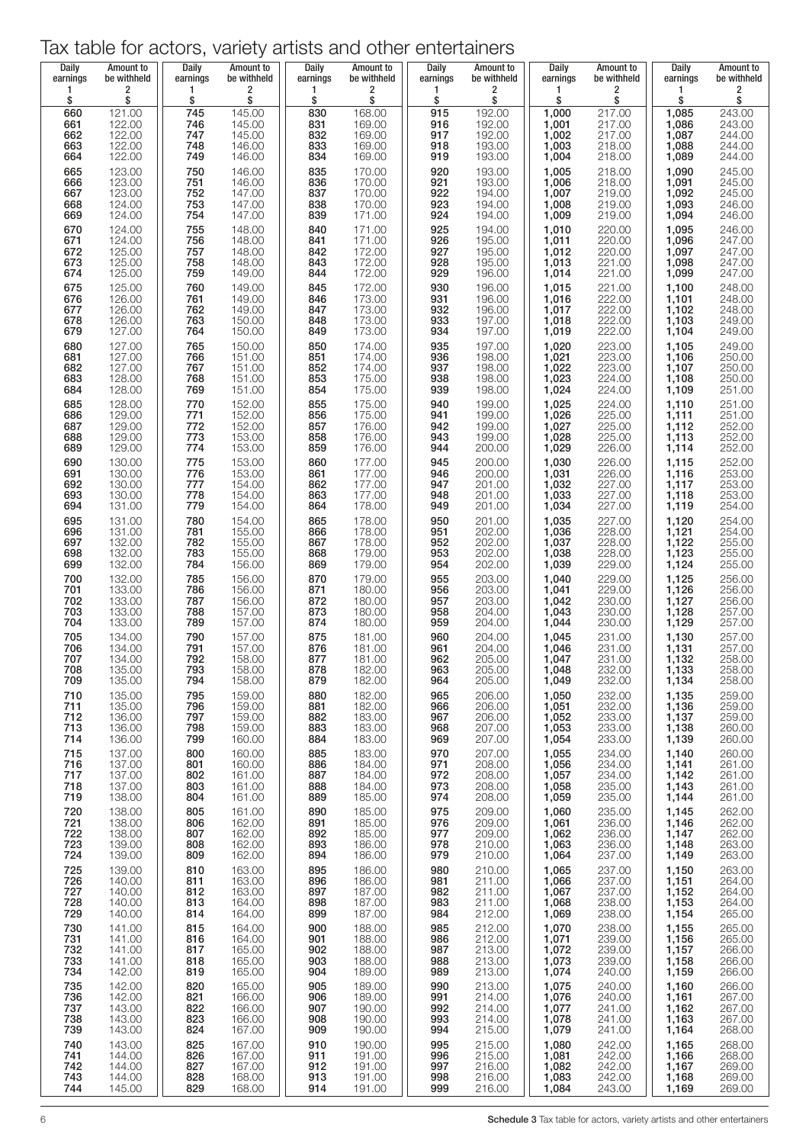### Tax table for actors, variety artists and other entertainers

| <b>Daily</b><br>earnings        | Amount to<br>be withheld                       | Daily<br>earnings               | Amount to<br>be withheld                       | Daily<br>earnings                      | Amount to<br>be withheld                       | <b>Daily</b><br>earnings        | Amount to<br>be withheld                       | Daily<br>earnings                                           | Amount to<br>be withheld                                 | <b>Daily</b><br>earnings                                 | Amount to<br>be withheld                                 |
|---------------------------------|------------------------------------------------|---------------------------------|------------------------------------------------|----------------------------------------|------------------------------------------------|---------------------------------|------------------------------------------------|-------------------------------------------------------------|----------------------------------------------------------|----------------------------------------------------------|----------------------------------------------------------|
| 1<br>\$                         | 2<br>\$                                        | 1<br>\$                         | 2<br>\$                                        | 1<br>\$                                | 2<br>\$                                        | 1<br>\$                         | 2<br>\$                                        | $\mathbf{1}$<br>\$                                          | 2<br>\$                                                  | 1<br>\$                                                  | 2<br>\$                                                  |
| 660<br>661<br>662<br>663<br>664 | 121.00<br>122.00<br>122.00<br>122.00<br>122.00 | 745<br>746<br>747<br>748<br>749 | 145.00<br>145.00<br>145.00<br>146.00<br>146.00 | 830<br>831<br>832<br>833<br>834        | 168.00<br>169.00<br>169.00<br>169.00<br>169.00 | 915<br>916<br>917<br>918<br>919 | 192.00<br>192.00<br>192.00<br>193.00<br>193.00 | $1,000$<br>$1,001$<br>$1,002$<br>$1,003$<br>$1,004$         | 217.00<br>217.00<br>217.00<br>218.00<br>218.00           | 1,085<br>$1,086$<br>$1,087$<br>$1,088$<br>$1,089$        | 243.00<br>243.00<br>244.00<br>244.00<br>244.00           |
| 665<br>666<br>667<br>668<br>669 | 123.00<br>123.00<br>123.00<br>124.00<br>124.00 | 750<br>751<br>752<br>753<br>754 | 146.00<br>146.00<br>147.00<br>147.00<br>147.00 | 835<br>836<br>837<br>838<br>839        | 170.00<br>170.00<br>170.00<br>170.00<br>171.00 | 920<br>921<br>922<br>923<br>924 | 193.00<br>193.00<br>194.00<br>194.00<br>194.00 | 1,005<br>1,006<br>1,007<br>1,008<br>1,009                   | 218.00<br>218.00<br>219.00<br>219.00<br>219.00           | 1,090<br>1,091<br>1,092<br>1,093<br>1,094                | 245.00<br>245.00<br>245.00<br>246.00<br>246.00           |
| 670<br>671<br>672<br>673        | 124.00<br>124.00<br>125.00<br>125.00           | 755<br>756<br>757<br>758        | 148.00<br>148.00<br>148.00<br>148.00           | 840<br>841<br>842<br>843               | 171.00<br>171.00<br>172.00<br>172.00           | 925<br>926<br>927<br>928        | 194.00<br>195.00<br>195.00<br>195.00           | 1,010<br>1,011<br>1,012<br>1,013                            | 220.00<br>220.00<br>220.00<br>221.00                     | 1,095<br>$1,096$<br>$1,097$<br>$1,098$<br>$1,099$        | 246.00<br>247.00<br>247.00<br>247.00<br>247.00           |
| 674<br>675<br>676<br>677<br>678 | 125.00<br>125.00<br>126.00<br>126.00<br>126.00 | 759<br>760<br>761<br>762<br>763 | 149.00<br>149.00<br>149.00<br>149.00<br>150.00 | 844<br>845<br>846<br>847<br>848        | 172.00<br>172.00<br>173.00<br>173.00<br>173.00 | 929<br>930<br>931<br>932<br>933 | 196.00<br>196.00<br>196.00<br>196.00<br>197.00 | 1,014<br>1,015<br>$1,016$<br>$1,017$<br>1,018               | 221.00<br>221.00<br>222.00<br>222.00                     | 1,100<br>1,101<br>1,102<br>1,103                         | 248.00<br>248.00<br>248.00<br>249.00                     |
| 679<br>680<br>681<br>682<br>683 | 127.00<br>127.00<br>127.00<br>127.00<br>128.00 | 764<br>765<br>766<br>767<br>768 | 150.00<br>150.00<br>151.00<br>151.00<br>151.00 | 849<br>850<br>851<br>852<br>853        | 173.00<br>174.00<br>174.00<br>174.00<br>175.00 | 934<br>935<br>936<br>937<br>938 | 197.00<br>197.00<br>198.00<br>198.00<br>198.00 | 1,019<br>1,020<br>1,021<br>1,022<br>1,023                   | 222.00<br>223.00<br>223.00<br>223.00<br>224.00           | 1,104<br>1,105<br>1,106<br>1,107                         | 249.00<br>249.00<br>250.00<br>250.00<br>250.00           |
| 684<br>685<br>686<br>687        | 128.00<br>128.00<br>129.00<br>129.00           | 769<br>770<br>771<br>772        | 151.00<br>152.00<br>152.00<br>152.00           | 854<br>855<br>856<br>857               | 175.00<br>175.00<br>175.00<br>176.00           | 939<br>940<br>$\frac{941}{942}$ | 198.00<br>199.00<br>199.00<br>199.00           | 1,024<br>1,025<br>1,026<br>1,027<br>1,028                   | 224.00<br>224.00<br>225.00<br>225.00                     | $1,108$<br>$1,109$<br>1,110<br>1,111<br>1,112            | 251.00<br>251.00<br>251.00<br>252.00                     |
| 688<br>689<br>690<br>691<br>692 | 129.00<br>129.00<br>130.00<br>130.00<br>130.00 | 773<br>774<br>775<br>776<br>777 | 153.00<br>153.00<br>153.00<br>153.00<br>154.00 | 858<br>859<br>860<br>861<br>862        | 176.00<br>176.00<br>177.00<br>177.00<br>177.00 | 943<br>944<br>945<br>946<br>947 | 199.00<br>200.00<br>200.00<br>200.00<br>201.00 | 1,029<br>1,030<br>$1,031$<br>$1,032$<br>$1,033$             | 225.00<br>226.00<br>226.00<br>226.00                     | 1,113<br>1,114<br>1,115<br>1,116<br>1,117                | 252.00<br>252.00<br>252.00<br>253.00<br>253.00<br>253.00 |
| 693<br>694<br>695<br>696        | 130.00<br>131.00<br>131.00<br>131.00           | 778<br>779<br>780<br>781        | 154.00<br>154.00<br>154.00<br>155.00           | 863<br>864<br>865<br>866               | 177.00<br>178.00<br>178.00<br>178.00           | 948<br>949<br>950<br>951        | 201.00<br>201.00<br>201.00<br>202.00           | 1,034<br>1,035                                              | 227.00<br>227.00<br>227.00<br>228.00<br>228.00           | 1,118<br>1,119<br>1,120                                  | 254.00<br>254.00<br>254.00                               |
| 697<br>698<br>699<br>700<br>701 | 132.00<br>132.00<br>132.00<br>132.00<br>133.00 | 782<br>783<br>784<br>785<br>786 | 155.00<br>155.00<br>156.00<br>156.00<br>156.00 | 867<br>868<br>869<br>870<br>871        | 178.00<br>179.00<br>179.00<br>179.00<br>180.00 | 952<br>953<br>954<br>955<br>956 | 202.00<br>202.00<br>202.00<br>203.00<br>203.00 | 1,036<br>1,037<br>1,038<br>1,039<br>1,040<br>1,041<br>1,042 | 228.00<br>229.00<br>229.00                               | $1,121$<br>$1,122$<br>$1,123$<br>1,124<br>1,125<br>1,126 | 255.00<br>255.00<br>255.00<br>256.00<br>256.00           |
| 702<br>703<br>704<br>705<br>706 | 133.00<br>133.00<br>133.00<br>134.00<br>134.00 | 787<br>788<br>789<br>790<br>791 | 156.00<br>157.00<br>157.00<br>157.00<br>157.00 | 872<br>873<br>874<br>875<br>876        | 180.00<br>180.00<br>180.00<br>181.00<br>181.00 | 957<br>958<br>959<br>960<br>961 | 203.00<br>204.00<br>204.00<br>204.00<br>204.00 | 1,043<br>1,044<br>1,045<br>1,046                            | 229.00<br>230.00<br>230.00<br>230.00<br>231.00<br>231.00 | 1,127<br>$1,128$<br>$1,129$<br>$1,130$<br>$1,131$        | 256.00<br>257.00<br>257.00<br>257.00<br>257.00           |
| 707<br>708<br>709<br>710        | 134.00<br>135.00<br>135.00<br>135.00           | 792<br>793<br>794<br>795        | 158.00<br>158.00<br>158.00<br>159.00           | 877<br>878<br>879<br>880               | 181.00<br>182.00<br>182.00<br>182.00           | 962<br>963<br>964<br>965        | 205.00<br>205.00<br>205.00<br>206.00           | 1,047<br>1,048<br>1,049<br>1,050                            | 231.00<br>232.00<br>232.00<br>232.00                     | 1,132<br>1,133<br>1,134<br>1,135                         | 258.00<br>258.00<br>258.00<br>259.00                     |
| 711<br>712<br>713<br>714<br>715 | 135.00<br>136.00<br>136.00<br>136.00<br>137.00 | 796<br>797<br>798<br>799<br>800 | 159.00<br>159.00<br>159.00<br>160.00<br>160.00 | 881<br>882<br>883<br>884<br>885        | 182.00<br>183.00<br>183.00<br>183.00<br>183.00 | 966<br>967<br>968<br>969<br>970 | 206.00<br>206.00<br>207.00<br>207.00<br>207.00 | 1,051<br>1,052<br>1,053<br>1,054<br>1,055                   | 232.00<br>233.00<br>233.00<br>233.00<br>234.00           | 1,136<br>1,137<br>1,138<br>1,139<br>1,140                | 259.00<br>259.00<br>260.00<br>260.00<br>260.00           |
| 716<br>717<br>718<br>719        | 137.00<br>137.00<br>137.00<br>138.00           | 801<br>802<br>803<br>804        | 160.00<br>161.00<br>161.00<br>161.00           | 886<br>887<br>888<br>889               | 184.00<br>184.00<br>184.00<br>185.00           | 971<br>972<br>973<br>974        | 208.00<br>208.00<br>208.00<br>208.00           | 1,056<br>1,057<br>1,058<br>1,059                            | 234.00<br>234.00<br>235.00<br>235.00                     | 1,141<br>1,142<br>1,143<br>1,144                         | 261.00<br>261.00<br>261.00<br>261.00                     |
| 720<br>721<br>722<br>723<br>724 | 138.00<br>138.00<br>138.00<br>139.00<br>139.00 | 805<br>806<br>807<br>808<br>809 | 161.00<br>162.00<br>162.00<br>162.00<br>162.00 | 890<br>891<br>892<br>893<br>894        | 185.00<br>185.00<br>185.00<br>186.00<br>186.00 | 975<br>976<br>977<br>978<br>979 | 209.00<br>209.00<br>209.00<br>210.00<br>210.00 | 1,060<br>1,061<br>1,062<br>1,063<br>1,064                   | 235.00<br>236.00<br>236.00<br>236.00<br>237.00           | 1,145<br>1,146<br>1,147<br>1,148<br>1,149                | 262.00<br>262.00<br>262.00<br>263.00<br>263.00           |
| 725<br>726<br>727<br>728<br>729 | 139.00<br>140.00<br>140.00<br>140.00<br>140.00 | 810<br>811<br>812<br>813<br>814 | 163.00<br>163.00<br>163.00<br>164.00<br>164.00 | 895<br>896<br>897<br>898<br>899        | 186.00<br>186.00<br>187.00<br>187.00<br>187.00 | 980<br>981<br>982<br>983<br>984 | 210.00<br>211.00<br>211.00<br>211.00<br>212.00 | 1,065<br>1,066<br>1,067<br>1,068<br>1,069                   | 237.00<br>237.00<br>237.00<br>238.00<br>238.00           | 1,150<br>1,151<br>1,152<br>1,153<br>1,154                | 263.00<br>264.00<br>264.00<br>264.00<br>265.00           |
| 730<br>731<br>732<br>733<br>734 | 141.00<br>141.00<br>141.00<br>141.00<br>142.00 | 815<br>816<br>817<br>818<br>819 | 164.00<br>164.00<br>165.00<br>165.00<br>165.00 | 900<br>901<br>902<br>903<br>904        | 188.00<br>188.00<br>188.00<br>188.00<br>189.00 | 985<br>986<br>987<br>988<br>989 | 212.00<br>212.00<br>213.00<br>213.00<br>213.00 | 1,070<br>1,071<br>1,072<br>1,073<br>1,074                   | 238.00<br>239.00<br>239.00<br>239.00<br>240.00           | 1,155<br>1,156<br>1,157<br>1,158<br>1,159                | 265.00<br>265.00<br>266.00<br>266.00<br>266.00           |
| 735<br>736<br>737<br>738<br>739 | 142.00<br>142.00<br>143.00<br>143.00<br>143.00 | 820<br>821<br>822<br>823<br>824 | 165.00<br>166.00<br>166.00<br>166.00<br>167.00 | 905<br>906<br>907<br>908               | 189.00<br>189.00<br>190.00<br>190.00<br>190.00 | 990<br>991<br>992<br>993<br>994 | 213.00<br>214.00<br>214.00<br>214.00<br>215.00 | 1,075<br>1,076<br>1,077<br>1,078<br>1,079                   | 240.00<br>240.00<br>241.00<br>241.00<br>241.00           | 1,160<br>1,161<br>1,162<br>1,163<br>1,164                | 266.00<br>267.00<br>267.00<br>267.00<br>268.00           |
| 740<br>741<br>742<br>743<br>744 | 143.00<br>144.00<br>144.00<br>144.00<br>145.00 | 825<br>826<br>827<br>828<br>829 | 167.00<br>167.00<br>167.00<br>168.00<br>168.00 | 909<br>910<br>911<br>912<br>913<br>914 | 190.00<br>191.00<br>191.00<br>191.00<br>191.00 | 995<br>996<br>997<br>998<br>999 | 215.00<br>215.00<br>216.00<br>216.00<br>216.00 | 1,080<br>1,081<br>1,082<br>1,083<br>1,084                   | 242.00<br>242.00<br>242.00<br>242.00<br>243.00           | 1,165<br>1,166<br>1,167<br>1,168<br>1,169                | 268.00<br>268.00<br>269.00<br>269.00<br>269.00           |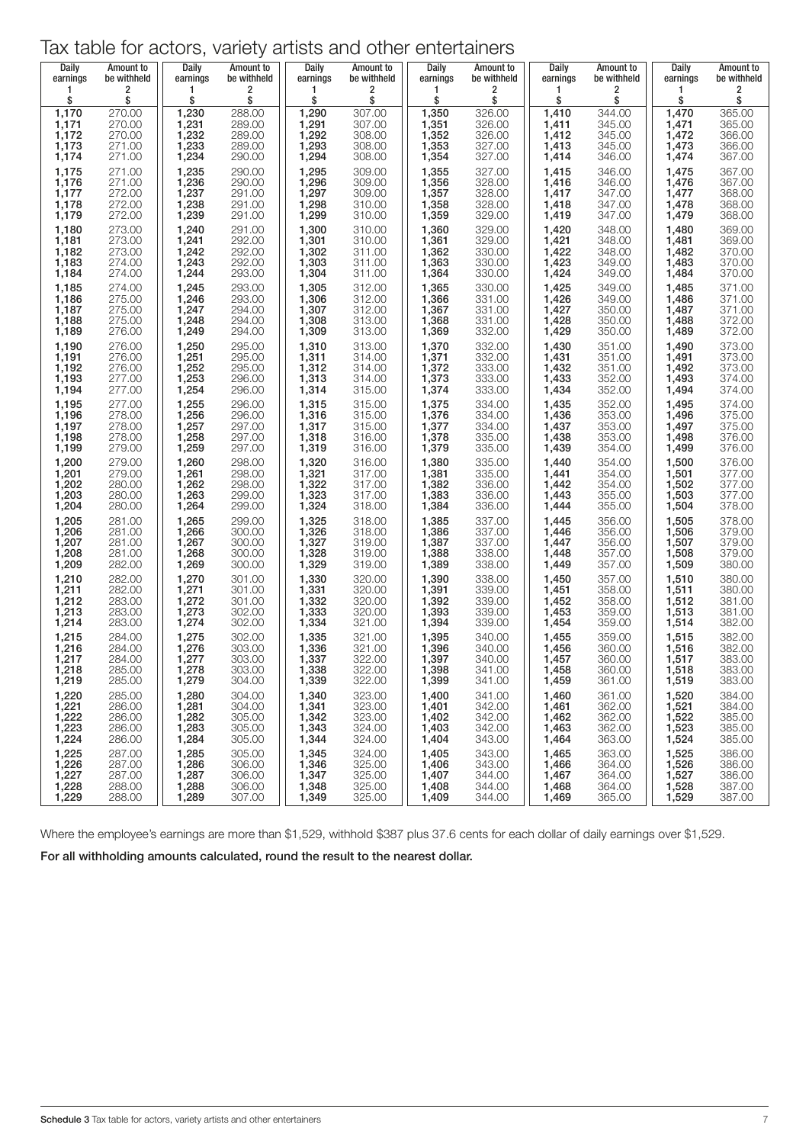| Tax table for actors, variety artists and other entertainers |  |  |  |  |  |
|--------------------------------------------------------------|--|--|--|--|--|
|--------------------------------------------------------------|--|--|--|--|--|

| Daily    | Amount to   | Daily    | Amount to   | <b>Daily</b> | Amount to   | <b>Daily</b> | Amount to   | Daily    | Amount to   | Daily    | Amount to   |
|----------|-------------|----------|-------------|--------------|-------------|--------------|-------------|----------|-------------|----------|-------------|
| earnings | be withheld | earnings | be withheld | earnings     | be withheld | earnings     | be withheld | earnings | be withheld | earnings | be withheld |
| 1        | 2           | 1        | 2           | 1            | 2           | 1            | 2           | 1        | 2           | 1        | 2           |
| \$       | \$          | \$       | \$          | \$           | \$          | \$           | \$          | \$       | \$          | \$       | \$          |
| 1,170    | 270.00      | 1,230    | 288.00      | 1,290        | 307.00      | 1,350        | 326.00      | 1,410    | 344.00      | 1,470    | 365.00      |
| 1,171    | 270.00      | 1,231    | 289.00      | 1,291        | 307.00      | 1,351        | 326.00      | 1,411    | 345.00      | 1,471    | 365.00      |
| 1,172    | 270.00      | 1,232    | 289.00      | 1,292        | 308.00      | 1,352        | 326.00      | 1,412    | 345.00      | 1,472    | 366.00      |
| 1,173    | 271.00      | 1,233    | 289.00      | 1,293        | 308.00      | 1,353        | 327.00      | 1,413    | 345.00      | 1,473    | 366.00      |
| 1,174    | 271.00      | 1,234    | 290.00      | 1,294        | 308.00      | 1,354        | 327.00      | 1,414    | 346.00      | 1,474    | 367.00      |
| 1,175    | 271.00      | 1,235    | 290.00      | 1,295        | 309.00      | 1,355        | 327.00      | 1,415    | 346.00      | 1,475    | 367.00      |
| 1,176    | 271.00      | 1,236    | 290.00      | 1,296        | 309.00      | 1,356        | 328.00      | 1,416    | 346.00      | 1,476    | 367.00      |
| 1,177    | 272.00      | 1,237    | 291.00      | 1,297        | 309.00      | 1,357        | 328.00      | 1,417    | 347.00      | 1,477    | 368.00      |
| 1,178    | 272.00      | 1,238    | 291.00      | 1,298        | 310.00      | 1,358        | 328.00      | 1,418    | 347.00      | 1,478    | 368.00      |
| 1,179    | 272.00      | 1,239    | 291.00      | 1,299        | 310.00      | 1,359        | 329.00      | 1,419    | 347.00      | 1,479    | 368.00      |
| 1,180    | 273.00      | 1,240    | 291.00      | 1,300        | 310.00      | 1,360        | 329.00      | 1,420    | 348.00      | 1,480    | 369.00      |
| 1,181    | 273.00      | 1,241    | 292.00      | 1,301        | 310.00      | 1,361        | 329.00      | 1,421    | 348.00      | 1,481    | 369.00      |
| 1,182    | 273.00      | 1,242    | 292.00      | 1,302        | 311.00      | 1,362        | 330.00      | 1,422    | 348.00      | 1,482    | 370.00      |
| 1,183    | 274.00      | 1,243    | 292.00      | 1,303        | 311.00      | 1,363        | 330.00      | 1,423    | 349.00      | 1,483    | 370.00      |
| 1,184    | 274.00      | 1,244    | 293.00      | 1,304        | 311.00      | 1,364        | 330.00      | 1,424    | 349.00      | 1,484    | 370.00      |
| 1,185    | 274.00      | 1,245    | 293.00      | 1,305        | 312.00      | 1,365        | 330.00      | 1,425    | 349.00      | 1,485    | 371.00      |
| 1,186    | 275.00      | 1,246    | 293.00      | 1,306        | 312.00      | 1,366        | 331.00      | 1,426    | 349.00      | 1,486    | 371.00      |
| 1,187    | 275.00      | 1,247    | 294.00      | 1,307        | 312.00      | 1,367        | 331.00      | 1,427    | 350.00      | 1,487    | 371.00      |
| 1,188    | 275.00      | 1,248    | 294.00      | 1,308        | 313.00      | 1,368        | 331.00      | 1,428    | 350.00      | 1,488    | 372.00      |
| 1,189    | 276.00      | 1,249    | 294.00      | 1,309        | 313.00      | 1,369        | 332.00      | 1,429    | 350.00      | 1,489    | 372.00      |
| 1,190    | 276.00      | 1,250    | 295.00      | 1,310        | 313.00      | 1,370        | 332.00      | 1,430    | 351.00      | 1,490    | 373.00      |
| 1,191    | 276.00      | 1,251    | 295.00      | 1,311        | 314.00      | 1,371        | 332.00      | 1,431    | 351.00      | 1,491    | 373.00      |
| 1,192    | 276.00      | 1,252    | 295.00      | 1,312        | 314.00      | 1,372        | 333.00      | 1,432    | 351.00      | 1,492    | 373.00      |
| 1,193    | 277.00      | 1,253    | 296.00      | 1,313        | 314.00      | 1,373        | 333.00      | 1,433    | 352.00      | 1,493    | 374.00      |
| 1,194    | 277.00      | 1,254    | 296.00      | 1,314        | 315.00      | 1,374        | 333.00      | 1,434    | 352.00      | 1,494    | 374.00      |
| 1,195    | 277.00      | 1,255    | 296.00      | 1,315        | 315.00      | 1,375        | 334.00      | 1,435    | 352.00      | 1,495    | 374.00      |
| 1,196    | 278.00      | 1,256    | 296.00      | 1,316        | 315.00      | 1,376        | 334.00      | 1,436    | 353.00      | 1,496    | 375.00      |
| 1,197    | 278.00      | 1,257    | 297.00      | 1,317        | 315.00      | 1,377        | 334.00      | 1,437    | 353.00      | 1,497    | 375.00      |
| 1,198    | 278.00      | 1,258    | 297.00      | 1,318        | 316.00      | 1,378        | 335.00      | 1,438    | 353.00      | 1,498    | 376.00      |
| 1,199    | 279.00      | 1,259    | 297.00      | 1,319        | 316.00      | 1,379        | 335.00      | 1,439    | 354.00      | 1,499    | 376.00      |
| 1,200    | 279.00      | 1,260    | 298.00      | 1,320        | 316.00      | 1,380        | 335.00      | 1,440    | 354.00      | 1,500    | 376.00      |
| 1,201    | 279.00      | 1,261    | 298.00      | 1,321        | 317.00      | 1,381        | 335.00      | 1,441    | 354.00      | 1,501    | 377.00      |
| 1,202    | 280.00      | 1,262    | 298.00      | 1,322        | 317.00      | 1,382        | 336.00      | 1,442    | 354.00      | 1,502    | 377.00      |
| 1,203    | 280.00      | 1,263    | 299.00      | 1,323        | 317.00      | 1,383        | 336.00      | 1,443    | 355.00      | 1,503    | 377.00      |
| 1,204    | 280.00      | 1,264    | 299.00      | 1,324        | 318.00      | 1,384        | 336.00      | 1,444    | 355.00      | 1,504    | 378.00      |
| 1,205    | 281.00      | 1,265    | 299.00      | 1,325        | 318.00      | 1,385        | 337.00      | 1,445    | 356.00      | 1,505    | 378.00      |
| 1,206    | 281.00      | 1,266    | 300.00      | 1,326        | 318.00      | 1,386        | 337.00      | 1,446    | 356.00      | 1,506    | 379.00      |
| 1,207    | 281.00      | 1,267    | 300.00      | 1,327        | 319.00      | 1,387        | 337.00      | 1,447    | 356.00      | 1,507    | 379.00      |
| 1,208    | 281.00      | 1,268    | 300.00      | 1,328        | 319.00      | 1,388        | 338.00      | 1,448    | 357.00      | 1,508    | 379.00      |
| 1,209    | 282.00      | 1,269    | 300.00      | 1,329        | 319.00      | 1,389        | 338.00      | 1,449    | 357.00      | 1,509    | 380.00      |
| 1,210    | 282.00      | 1,270    | 301.00      | 1,330        | 320.00      | 1,390        | 338.00      | 1,450    | 357.00      | 1,510    | 380.00      |
| 1,211    | 282.00      | 1,271    | 301.00      | 1,331        | 320.00      | 1,391        | 339.00      | 1,451    | 358.00      | 1,511    | 380.00      |
| 1,212    | 283.00      | 1,272    | 301.00      | 1,332        | 320.00      | 1,392        | 339.00      | 1,452    | 358.00      | 1,512    | 381.00      |
| 1,213    | 283.00      | 1,273    | 302.00      | 1,333        | 320.00      | 1,393        | 339.00      | 1,453    | 359.00      | 1,513    | 381.00      |
| 1,214    | 283.00      | 1,274    | 302.00      | 1,334        | 321.00      | 1,394        | 339.00      | 1,454    | 359.00      | 1,514    | 382.00      |
| 1,215    | 284.00      | 1,275    | 302.00      | 1,335        | 321.00      | 1,395        | 340.00      | 1,455    | 359.00      | 1,515    | 382.00      |
| 1,216    | 284.00      | 1,276    | 303.00      | 1,336        | 321.00      | 1,396        | 340.00      | 1,456    | 360.00      | 1,516    | 382.00      |
| 1,217    | 284.00      | 1,277    | 303.00      | 1,337        | 322.00      | 1,397        | 340.00      | 1,457    | 360.00      | 1,517    | 383.00      |
| 1,218    | 285.00      | 1,278    | 303.00      | 1,338        | 322.00      | 1,398        | 341.00      | 1,458    | 360.00      | 1,518    | 383.00      |
| 1,219    | 285.00      | 1,279    | 304.00      | 1,339        | 322.00      | 1,399        | 341.00      | 1,459    | 361.00      | 1,519    | 383.00      |
| 1,220    | 285.00      | 1,280    | 304.00      | 1,340        | 323.00      | 1,400        | 341.00      | 1,460    | 361.00      | 1,520    | 384.00      |
| 1,221    | 286.00      | 1,281    | 304.00      | 1,341        | 323.00      | 1,401        | 342.00      | 1,461    | 362.00      | 1,521    | 384.00      |
| 1,222    | 286.00      | 1,282    | 305.00      | 1,342        | 323.00      | 1,402        | 342.00      | 1,462    | 362.00      | 1,522    | 385.00      |
| 1,223    | 286.00      | 1,283    | 305.00      | 1,343        | 324.00      | 1,403        | 342.00      | 1,463    | 362.00      | 1,523    | 385.00      |
| 1,224    | 286.00      | 1,284    | 305.00      | 1,344        | 324.00      | 1,404        | 343.00      | 1,464    | 363.00      | 1,524    | 385.00      |
| 1,225    | 287.00      | 1,285    | 305.00      | 1,345        | 324.00      | 1,405        | 343.00      | 1,465    | 363.00      | 1,525    | 386.00      |
| 1,226    | 287.00      | 1,286    | 306.00      | 1,346        | 325.00      | 1,406        | 343.00      | 1,466    | 364.00      | 1,526    | 386.00      |
| 1,227    | 287.00      | 1,287    | 306.00      | 1,347        | 325.00      | 1,407        | 344.00      | 1,467    | 364.00      | 1,527    | 386.00      |
| 1,228    | 288.00      | 1,288    | 306.00      | 1,348        | 325.00      | 1,408        | 344.00      | 1,468    | 364.00      | 1,528    | 387.00      |
| 1,229    | 288.00      | 1,289    | 307.00      | 1,349        | 325.00      | 1,409        | 344.00      | 1,469    | 365.00      | 1,529    | 387.00      |

Where the employee's earnings are more than \$1,529, withhold \$387 plus 37.6 cents for each dollar of daily earnings over \$1,529. For all withholding amounts calculated, round the result to the nearest dollar.